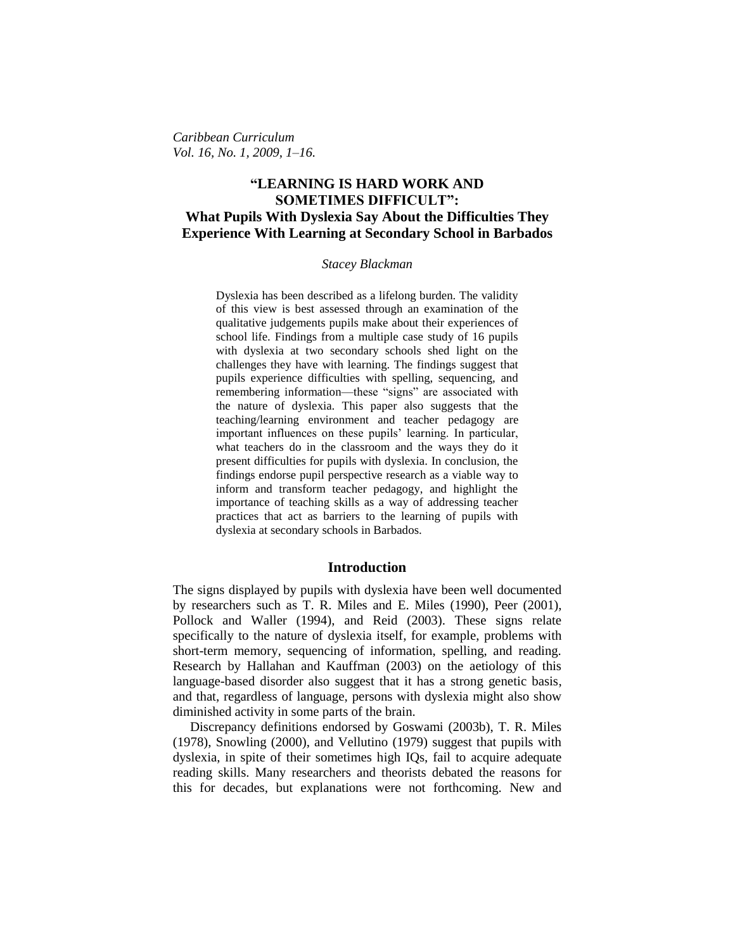*Caribbean Curriculum Vol. 16, No. 1, 2009, 1–16.*

# **"LEARNING IS HARD WORK AND SOMETIMES DIFFICULT": What Pupils With Dyslexia Say About the Difficulties They Experience With Learning at Secondary School in Barbados**

### *Stacey Blackman*

Dyslexia has been described as a lifelong burden. The validity of this view is best assessed through an examination of the qualitative judgements pupils make about their experiences of school life. Findings from a multiple case study of 16 pupils with dyslexia at two secondary schools shed light on the challenges they have with learning. The findings suggest that pupils experience difficulties with spelling, sequencing, and remembering information—these "signs" are associated with the nature of dyslexia. This paper also suggests that the teaching/learning environment and teacher pedagogy are important influences on these pupils' learning. In particular, what teachers do in the classroom and the ways they do it present difficulties for pupils with dyslexia. In conclusion, the findings endorse pupil perspective research as a viable way to inform and transform teacher pedagogy, and highlight the importance of teaching skills as a way of addressing teacher practices that act as barriers to the learning of pupils with dyslexia at secondary schools in Barbados.

### **Introduction**

The signs displayed by pupils with dyslexia have been well documented by researchers such as T. R. Miles and E. Miles (1990), Peer (2001), Pollock and Waller (1994), and Reid (2003). These signs relate specifically to the nature of dyslexia itself, for example, problems with short-term memory, sequencing of information, spelling, and reading. Research by Hallahan and Kauffman (2003) on the aetiology of this language-based disorder also suggest that it has a strong genetic basis, and that, regardless of language, persons with dyslexia might also show diminished activity in some parts of the brain.

Discrepancy definitions endorsed by Goswami (2003b), T. R. Miles (1978), Snowling (2000), and Vellutino (1979) suggest that pupils with dyslexia, in spite of their sometimes high IQs, fail to acquire adequate reading skills. Many researchers and theorists debated the reasons for this for decades, but explanations were not forthcoming. New and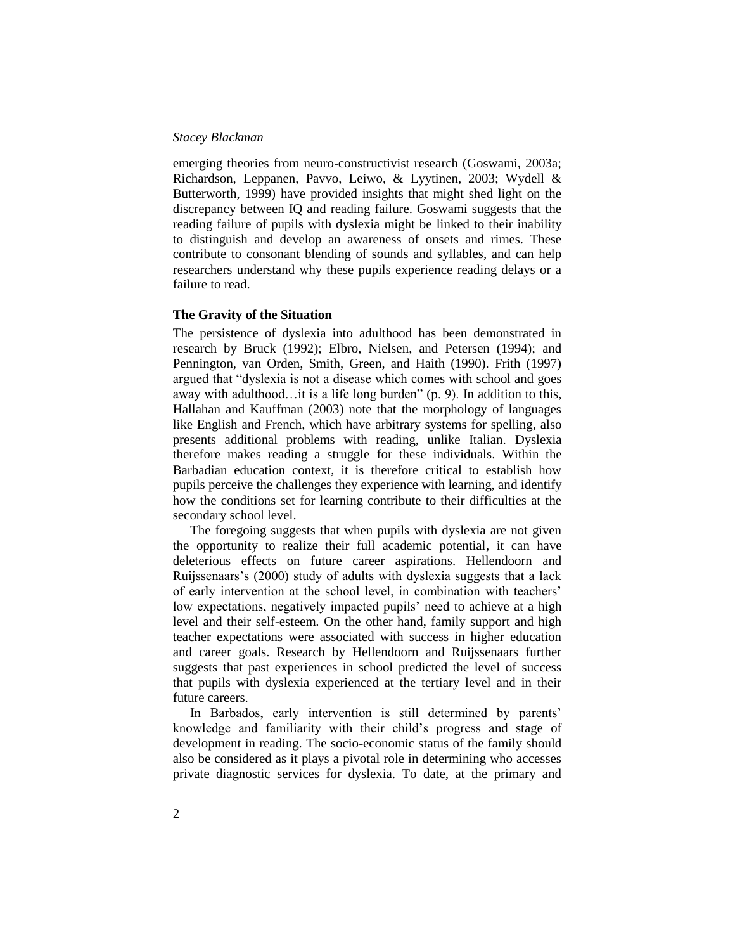emerging theories from neuro-constructivist research (Goswami, 2003a; Richardson, Leppanen, Pavvo, Leiwo, & Lyytinen, 2003; Wydell & Butterworth, 1999) have provided insights that might shed light on the discrepancy between IQ and reading failure. Goswami suggests that the reading failure of pupils with dyslexia might be linked to their inability to distinguish and develop an awareness of onsets and rimes. These contribute to consonant blending of sounds and syllables, and can help researchers understand why these pupils experience reading delays or a failure to read.

### **The Gravity of the Situation**

The persistence of dyslexia into adulthood has been demonstrated in research by Bruck (1992); Elbro, Nielsen, and Petersen (1994); and Pennington, van Orden, Smith, Green, and Haith (1990). Frith (1997) argued that "dyslexia is not a disease which comes with school and goes away with adulthood…it is a life long burden" (p. 9). In addition to this, Hallahan and Kauffman (2003) note that the morphology of languages like English and French, which have arbitrary systems for spelling, also presents additional problems with reading, unlike Italian. Dyslexia therefore makes reading a struggle for these individuals. Within the Barbadian education context, it is therefore critical to establish how pupils perceive the challenges they experience with learning, and identify how the conditions set for learning contribute to their difficulties at the secondary school level.

The foregoing suggests that when pupils with dyslexia are not given the opportunity to realize their full academic potential, it can have deleterious effects on future career aspirations. Hellendoorn and Ruijssenaars's (2000) study of adults with dyslexia suggests that a lack of early intervention at the school level, in combination with teachers' low expectations, negatively impacted pupils' need to achieve at a high level and their self-esteem. On the other hand, family support and high teacher expectations were associated with success in higher education and career goals. Research by Hellendoorn and Ruijssenaars further suggests that past experiences in school predicted the level of success that pupils with dyslexia experienced at the tertiary level and in their future careers.

In Barbados, early intervention is still determined by parents' knowledge and familiarity with their child's progress and stage of development in reading. The socio-economic status of the family should also be considered as it plays a pivotal role in determining who accesses private diagnostic services for dyslexia. To date, at the primary and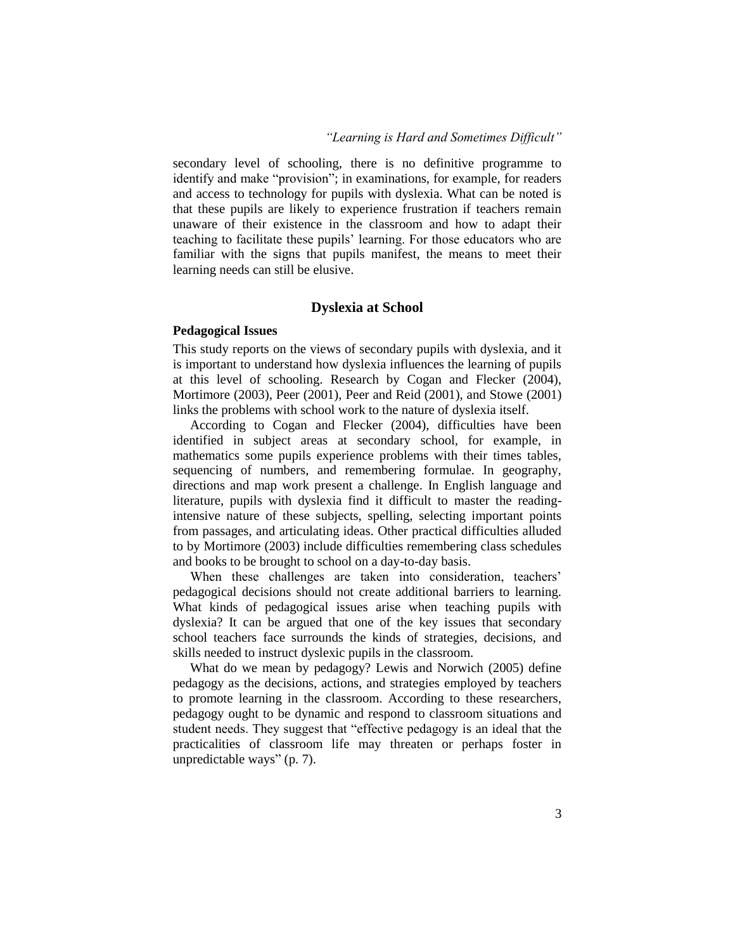### *"Learning is Hard and Sometimes Difficult"*

secondary level of schooling, there is no definitive programme to identify and make "provision"; in examinations, for example, for readers and access to technology for pupils with dyslexia. What can be noted is that these pupils are likely to experience frustration if teachers remain unaware of their existence in the classroom and how to adapt their teaching to facilitate these pupils' learning. For those educators who are familiar with the signs that pupils manifest, the means to meet their learning needs can still be elusive.

### **Dyslexia at School**

### **Pedagogical Issues**

This study reports on the views of secondary pupils with dyslexia, and it is important to understand how dyslexia influences the learning of pupils at this level of schooling. Research by Cogan and Flecker (2004), Mortimore (2003), Peer (2001), Peer and Reid (2001), and Stowe (2001) links the problems with school work to the nature of dyslexia itself.

According to Cogan and Flecker (2004), difficulties have been identified in subject areas at secondary school, for example, in mathematics some pupils experience problems with their times tables, sequencing of numbers, and remembering formulae. In geography, directions and map work present a challenge. In English language and literature, pupils with dyslexia find it difficult to master the readingintensive nature of these subjects, spelling, selecting important points from passages, and articulating ideas. Other practical difficulties alluded to by Mortimore (2003) include difficulties remembering class schedules and books to be brought to school on a day-to-day basis.

When these challenges are taken into consideration, teachers' pedagogical decisions should not create additional barriers to learning. What kinds of pedagogical issues arise when teaching pupils with dyslexia? It can be argued that one of the key issues that secondary school teachers face surrounds the kinds of strategies, decisions, and skills needed to instruct dyslexic pupils in the classroom.

What do we mean by pedagogy? Lewis and Norwich (2005) define pedagogy as the decisions, actions, and strategies employed by teachers to promote learning in the classroom. According to these researchers, pedagogy ought to be dynamic and respond to classroom situations and student needs. They suggest that "effective pedagogy is an ideal that the practicalities of classroom life may threaten or perhaps foster in unpredictable ways" (p. 7).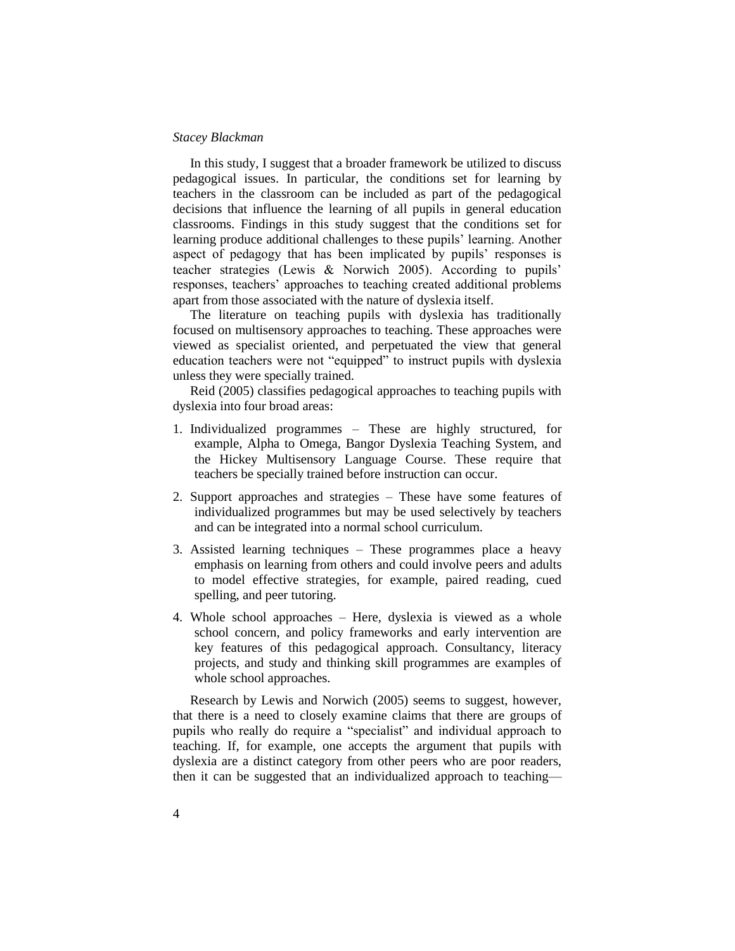In this study, I suggest that a broader framework be utilized to discuss pedagogical issues. In particular, the conditions set for learning by teachers in the classroom can be included as part of the pedagogical decisions that influence the learning of all pupils in general education classrooms. Findings in this study suggest that the conditions set for learning produce additional challenges to these pupils' learning. Another aspect of pedagogy that has been implicated by pupils' responses is teacher strategies (Lewis & Norwich 2005). According to pupils' responses, teachers' approaches to teaching created additional problems apart from those associated with the nature of dyslexia itself.

The literature on teaching pupils with dyslexia has traditionally focused on multisensory approaches to teaching. These approaches were viewed as specialist oriented, and perpetuated the view that general education teachers were not "equipped" to instruct pupils with dyslexia unless they were specially trained.

Reid (2005) classifies pedagogical approaches to teaching pupils with dyslexia into four broad areas:

- 1. Individualized programmes These are highly structured, for example, Alpha to Omega, Bangor Dyslexia Teaching System, and the Hickey Multisensory Language Course. These require that teachers be specially trained before instruction can occur.
- 2. Support approaches and strategies These have some features of individualized programmes but may be used selectively by teachers and can be integrated into a normal school curriculum.
- 3. Assisted learning techniques These programmes place a heavy emphasis on learning from others and could involve peers and adults to model effective strategies, for example, paired reading, cued spelling, and peer tutoring.
- 4. Whole school approaches Here, dyslexia is viewed as a whole school concern, and policy frameworks and early intervention are key features of this pedagogical approach. Consultancy, literacy projects, and study and thinking skill programmes are examples of whole school approaches.

Research by Lewis and Norwich (2005) seems to suggest, however, that there is a need to closely examine claims that there are groups of pupils who really do require a "specialist" and individual approach to teaching. If, for example, one accepts the argument that pupils with dyslexia are a distinct category from other peers who are poor readers, then it can be suggested that an individualized approach to teaching—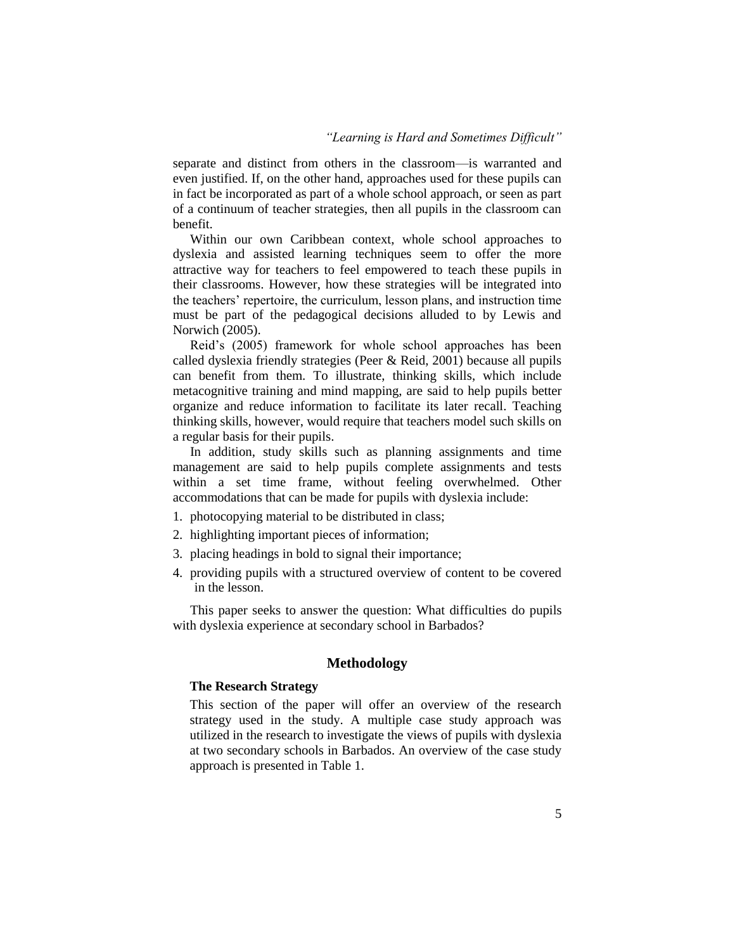### *"Learning is Hard and Sometimes Difficult"*

separate and distinct from others in the classroom—is warranted and even justified. If, on the other hand, approaches used for these pupils can in fact be incorporated as part of a whole school approach, or seen as part of a continuum of teacher strategies, then all pupils in the classroom can benefit.

Within our own Caribbean context, whole school approaches to dyslexia and assisted learning techniques seem to offer the more attractive way for teachers to feel empowered to teach these pupils in their classrooms. However, how these strategies will be integrated into the teachers' repertoire, the curriculum, lesson plans, and instruction time must be part of the pedagogical decisions alluded to by Lewis and Norwich (2005).

Reid's (2005) framework for whole school approaches has been called dyslexia friendly strategies (Peer & Reid, 2001) because all pupils can benefit from them. To illustrate, thinking skills, which include metacognitive training and mind mapping, are said to help pupils better organize and reduce information to facilitate its later recall. Teaching thinking skills, however, would require that teachers model such skills on a regular basis for their pupils.

In addition, study skills such as planning assignments and time management are said to help pupils complete assignments and tests within a set time frame, without feeling overwhelmed. Other accommodations that can be made for pupils with dyslexia include:

- 1. photocopying material to be distributed in class;
- 2. highlighting important pieces of information;
- 3. placing headings in bold to signal their importance;
- 4. providing pupils with a structured overview of content to be covered in the lesson.

This paper seeks to answer the question: What difficulties do pupils with dyslexia experience at secondary school in Barbados?

### **Methodology**

### **The Research Strategy**

This section of the paper will offer an overview of the research strategy used in the study. A multiple case study approach was utilized in the research to investigate the views of pupils with dyslexia at two secondary schools in Barbados. An overview of the case study approach is presented in Table 1.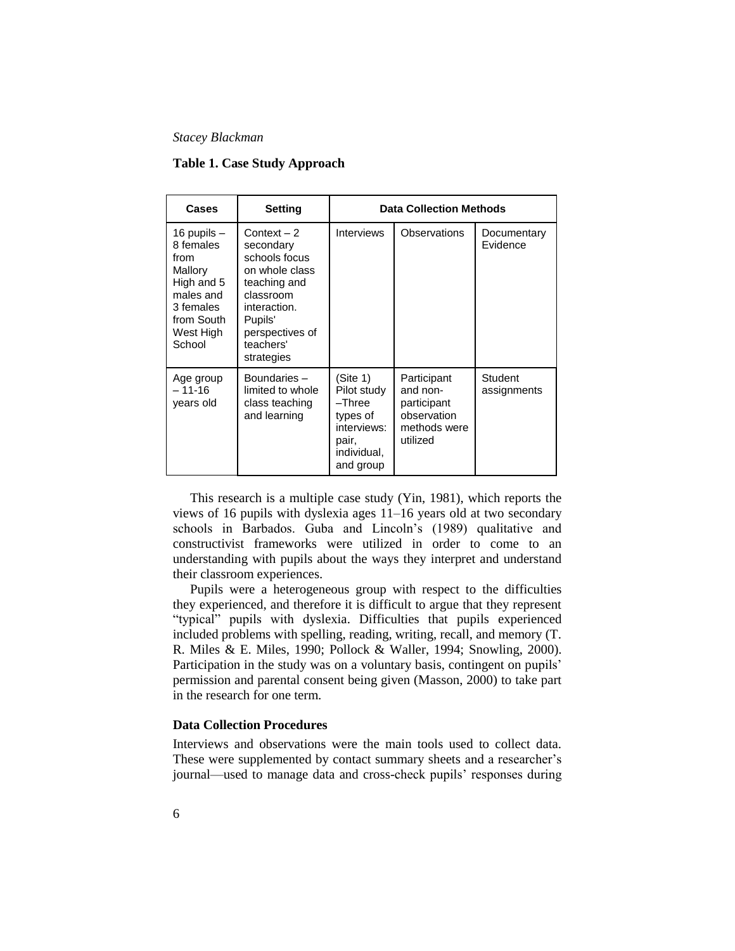### **Table 1. Case Study Approach**

| Cases                                                                                                                      | Setting                                                                                                                                                            | <b>Data Collection Methods</b>                                                                    |                                                                                   |                         |
|----------------------------------------------------------------------------------------------------------------------------|--------------------------------------------------------------------------------------------------------------------------------------------------------------------|---------------------------------------------------------------------------------------------------|-----------------------------------------------------------------------------------|-------------------------|
| 16 pupils $-$<br>8 females<br>from<br>Mallory<br>High and 5<br>males and<br>3 females<br>from South<br>West High<br>School | Context $-2$<br>secondary<br>schools focus<br>on whole class<br>teaching and<br>classroom<br>interaction.<br>Pupils'<br>perspectives of<br>teachers'<br>strategies | Interviews                                                                                        | Observations                                                                      | Documentary<br>Evidence |
| Age group<br>$-11-16$<br>years old                                                                                         | Boundaries -<br>limited to whole<br>class teaching<br>and learning                                                                                                 | (Site 1)<br>Pilot study<br>-Three<br>types of<br>interviews:<br>pair,<br>individual,<br>and group | Participant<br>and non-<br>participant<br>observation<br>methods were<br>utilized | Student<br>assignments  |

This research is a multiple case study (Yin, 1981), which reports the views of 16 pupils with dyslexia ages 11–16 years old at two secondary schools in Barbados. Guba and Lincoln's (1989) qualitative and constructivist frameworks were utilized in order to come to an understanding with pupils about the ways they interpret and understand their classroom experiences.

Pupils were a heterogeneous group with respect to the difficulties they experienced, and therefore it is difficult to argue that they represent "typical" pupils with dyslexia. Difficulties that pupils experienced included problems with spelling, reading, writing, recall, and memory (T. R. Miles & E. Miles, 1990; Pollock & Waller, 1994; Snowling, 2000). Participation in the study was on a voluntary basis, contingent on pupils' permission and parental consent being given (Masson, 2000) to take part in the research for one term.

### **Data Collection Procedures**

Interviews and observations were the main tools used to collect data. These were supplemented by contact summary sheets and a researcher's journal—used to manage data and cross-check pupils' responses during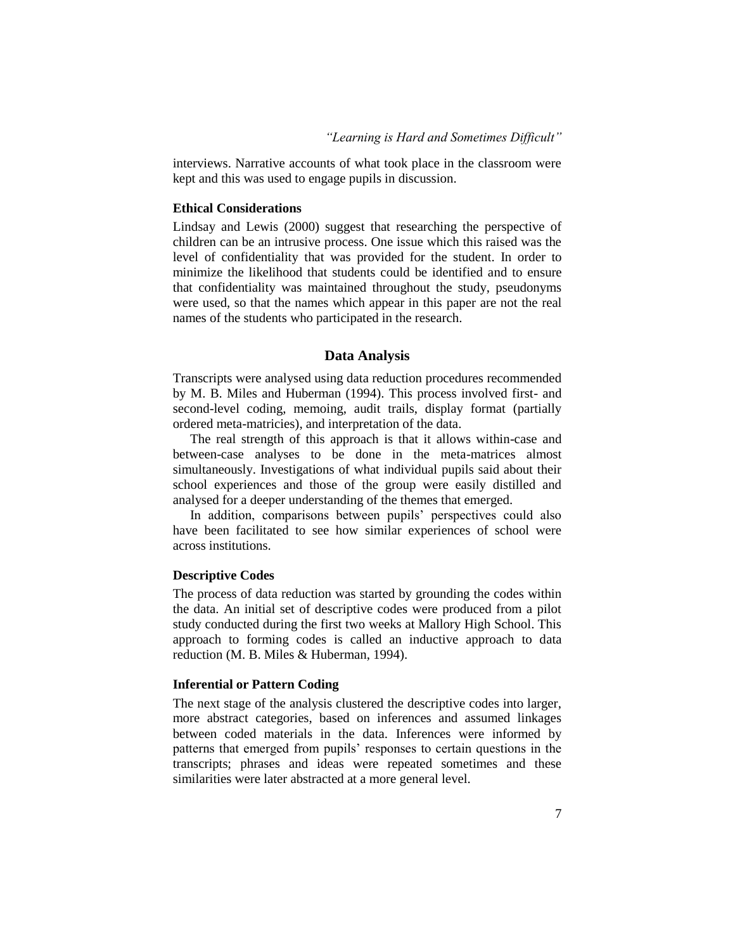### *"Learning is Hard and Sometimes Difficult"*

interviews. Narrative accounts of what took place in the classroom were kept and this was used to engage pupils in discussion.

### **Ethical Considerations**

Lindsay and Lewis (2000) suggest that researching the perspective of children can be an intrusive process. One issue which this raised was the level of confidentiality that was provided for the student. In order to minimize the likelihood that students could be identified and to ensure that confidentiality was maintained throughout the study, pseudonyms were used, so that the names which appear in this paper are not the real names of the students who participated in the research.

## **Data Analysis**

Transcripts were analysed using data reduction procedures recommended by M. B. Miles and Huberman (1994). This process involved first- and second-level coding, memoing, audit trails, display format (partially ordered meta-matricies), and interpretation of the data.

The real strength of this approach is that it allows within-case and between-case analyses to be done in the meta-matrices almost simultaneously. Investigations of what individual pupils said about their school experiences and those of the group were easily distilled and analysed for a deeper understanding of the themes that emerged.

In addition, comparisons between pupils' perspectives could also have been facilitated to see how similar experiences of school were across institutions.

### **Descriptive Codes**

The process of data reduction was started by grounding the codes within the data. An initial set of descriptive codes were produced from a pilot study conducted during the first two weeks at Mallory High School. This approach to forming codes is called an inductive approach to data reduction (M. B. Miles & Huberman, 1994).

#### **Inferential or Pattern Coding**

The next stage of the analysis clustered the descriptive codes into larger, more abstract categories, based on inferences and assumed linkages between coded materials in the data. Inferences were informed by patterns that emerged from pupils' responses to certain questions in the transcripts; phrases and ideas were repeated sometimes and these similarities were later abstracted at a more general level.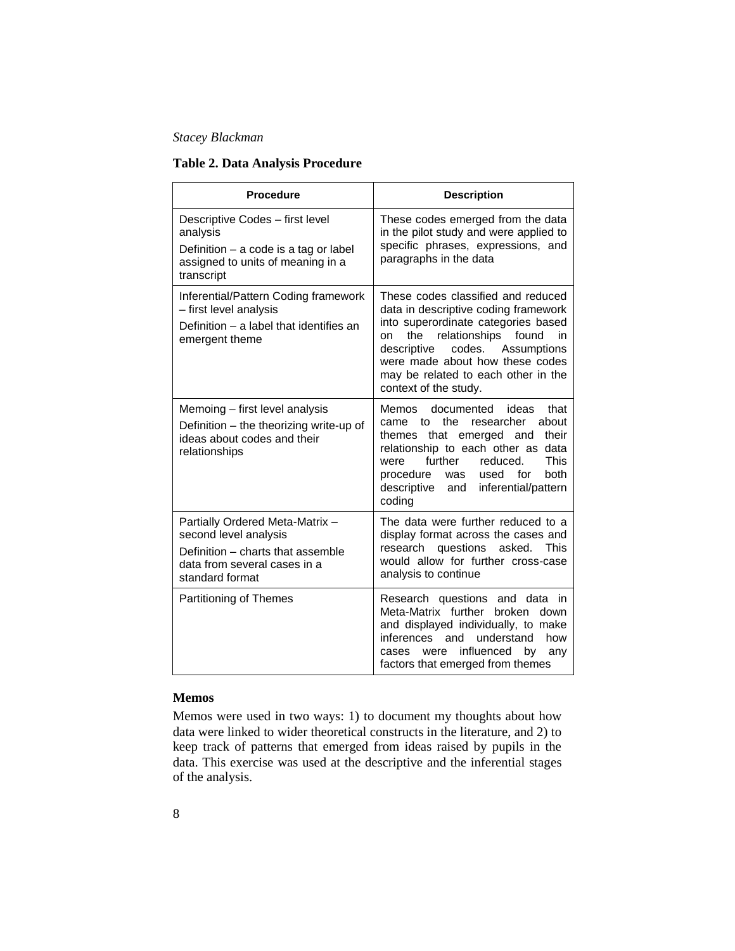# **Table 2. Data Analysis Procedure**

| <b>Procedure</b>                                                                                                                                 | <b>Description</b>                                                                                                                                                                                                                                                                                         |  |  |
|--------------------------------------------------------------------------------------------------------------------------------------------------|------------------------------------------------------------------------------------------------------------------------------------------------------------------------------------------------------------------------------------------------------------------------------------------------------------|--|--|
| Descriptive Codes - first level<br>analysis<br>Definition $-$ a code is a tag or label<br>assigned to units of meaning in a<br>transcript        | These codes emerged from the data<br>in the pilot study and were applied to<br>specific phrases, expressions, and<br>paragraphs in the data                                                                                                                                                                |  |  |
| Inferential/Pattern Coding framework<br>- first level analysis<br>Definition - a label that identifies an<br>emergent theme                      | These codes classified and reduced<br>data in descriptive coding framework<br>into superordinate categories based<br>the<br>relationships<br>found<br>in<br>on<br>descriptive<br>codes.<br>Assumptions<br>were made about how these codes<br>may be related to each other in the<br>context of the study.  |  |  |
| Memoing - first level analysis<br>Definition – the theorizing write-up of<br>ideas about codes and their<br>relationships                        | ideas<br>Memos<br>documented<br>that<br>the.<br>researcher<br>about<br>came<br>tο<br>that emerged and<br>their<br>themes<br>relationship to each other as<br>data<br>further<br>reduced.<br>This<br>were<br>used<br>for<br>both<br>procedure<br>was<br>descriptive<br>inferential/pattern<br>and<br>coding |  |  |
| Partially Ordered Meta-Matrix -<br>second level analysis<br>Definition - charts that assemble<br>data from several cases in a<br>standard format | The data were further reduced to a<br>display format across the cases and<br>questions<br>asked.<br>research<br>This<br>would allow for further cross-case<br>analysis to continue                                                                                                                         |  |  |
| Partitioning of Themes                                                                                                                           | Research questions and data in<br>Meta-Matrix further<br>broken<br>down<br>and displayed individually, to make<br>inferences<br>and understand<br>how<br>influenced by<br>were<br>cases<br>any<br>factors that emerged from themes                                                                         |  |  |

# **Memos**

Memos were used in two ways: 1) to document my thoughts about how data were linked to wider theoretical constructs in the literature, and 2) to keep track of patterns that emerged from ideas raised by pupils in the data. This exercise was used at the descriptive and the inferential stages of the analysis.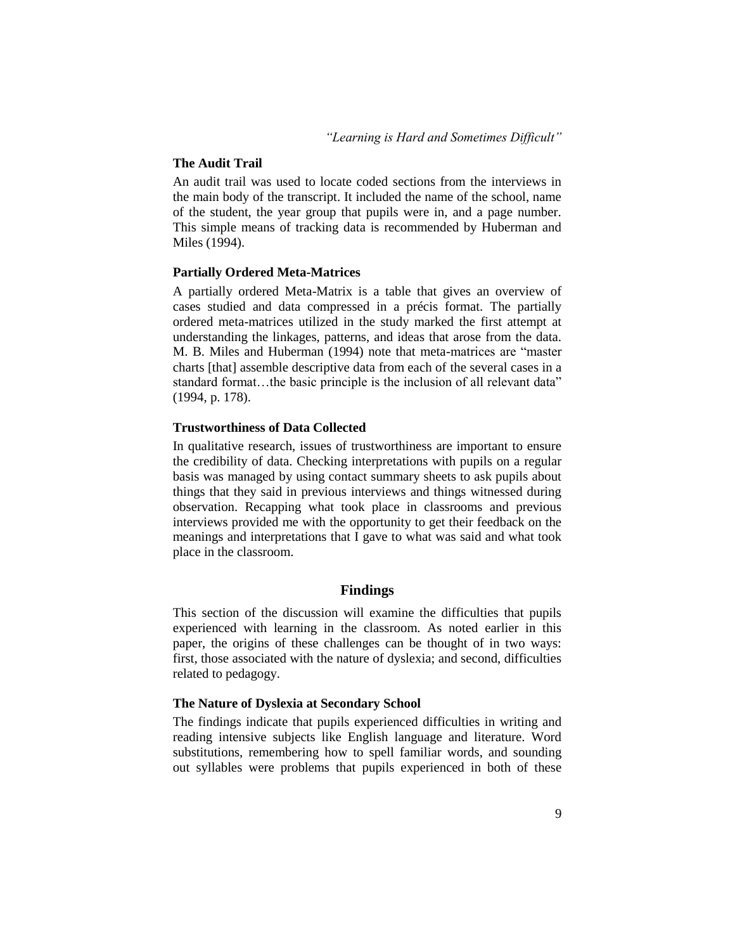### **The Audit Trail**

An audit trail was used to locate coded sections from the interviews in the main body of the transcript. It included the name of the school, name of the student, the year group that pupils were in, and a page number. This simple means of tracking data is recommended by Huberman and Miles (1994).

### **Partially Ordered Meta-Matrices**

A partially ordered Meta-Matrix is a table that gives an overview of cases studied and data compressed in a précis format. The partially ordered meta-matrices utilized in the study marked the first attempt at understanding the linkages, patterns, and ideas that arose from the data. M. B. Miles and Huberman (1994) note that meta-matrices are "master charts [that] assemble descriptive data from each of the several cases in a standard format…the basic principle is the inclusion of all relevant data" (1994, p. 178).

#### **Trustworthiness of Data Collected**

In qualitative research, issues of trustworthiness are important to ensure the credibility of data. Checking interpretations with pupils on a regular basis was managed by using contact summary sheets to ask pupils about things that they said in previous interviews and things witnessed during observation. Recapping what took place in classrooms and previous interviews provided me with the opportunity to get their feedback on the meanings and interpretations that I gave to what was said and what took place in the classroom.

### **Findings**

This section of the discussion will examine the difficulties that pupils experienced with learning in the classroom. As noted earlier in this paper, the origins of these challenges can be thought of in two ways: first, those associated with the nature of dyslexia; and second, difficulties related to pedagogy.

### **The Nature of Dyslexia at Secondary School**

The findings indicate that pupils experienced difficulties in writing and reading intensive subjects like English language and literature. Word substitutions, remembering how to spell familiar words, and sounding out syllables were problems that pupils experienced in both of these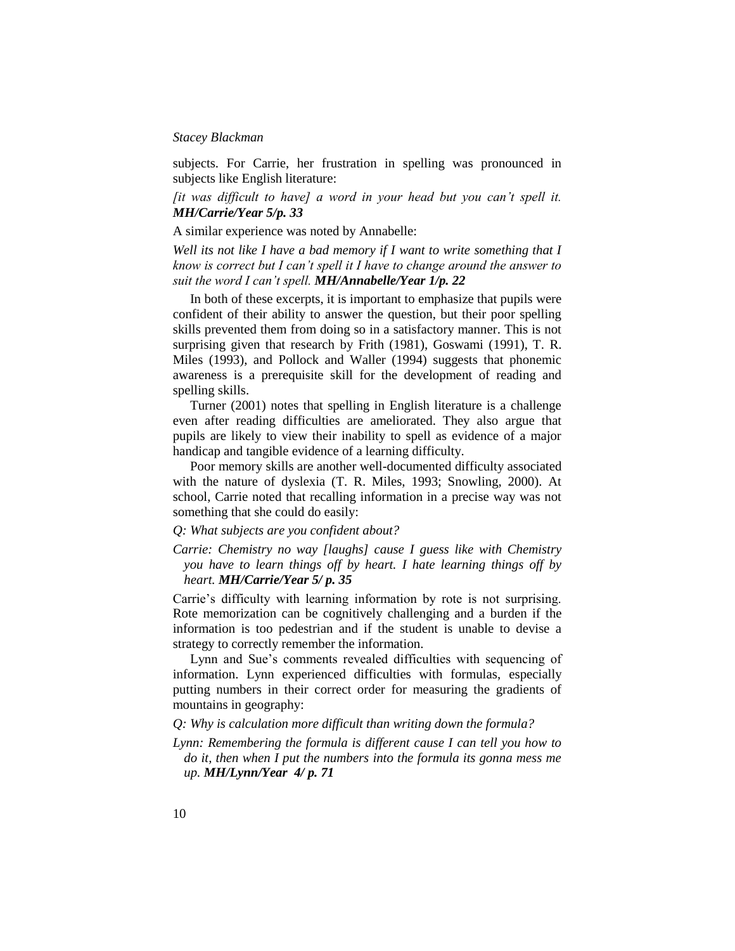subjects. For Carrie, her frustration in spelling was pronounced in subjects like English literature:

*[it was difficult to have] a word in your head but you can't spell it. MH/Carrie/Year 5/p. 33*

A similar experience was noted by Annabelle:

*Well its not like I have a bad memory if I want to write something that I know is correct but I can't spell it I have to change around the answer to suit the word I can't spell. MH/Annabelle/Year 1/p. 22*

In both of these excerpts, it is important to emphasize that pupils were confident of their ability to answer the question, but their poor spelling skills prevented them from doing so in a satisfactory manner. This is not surprising given that research by Frith (1981), Goswami (1991), T. R. Miles (1993), and Pollock and Waller (1994) suggests that phonemic awareness is a prerequisite skill for the development of reading and spelling skills.

Turner (2001) notes that spelling in English literature is a challenge even after reading difficulties are ameliorated. They also argue that pupils are likely to view their inability to spell as evidence of a major handicap and tangible evidence of a learning difficulty.

Poor memory skills are another well-documented difficulty associated with the nature of dyslexia (T. R. Miles, 1993; Snowling, 2000). At school, Carrie noted that recalling information in a precise way was not something that she could do easily:

### *Q: What subjects are you confident about?*

*Carrie: Chemistry no way [laughs] cause I guess like with Chemistry you have to learn things off by heart. I hate learning things off by heart. MH/Carrie/Year 5/ p. 35*

Carrie's difficulty with learning information by rote is not surprising. Rote memorization can be cognitively challenging and a burden if the information is too pedestrian and if the student is unable to devise a strategy to correctly remember the information.

Lynn and Sue's comments revealed difficulties with sequencing of information. Lynn experienced difficulties with formulas, especially putting numbers in their correct order for measuring the gradients of mountains in geography:

*Q: Why is calculation more difficult than writing down the formula?*

*Lynn: Remembering the formula is different cause I can tell you how to do it, then when I put the numbers into the formula its gonna mess me up. MH/Lynn/Year 4/ p. 71*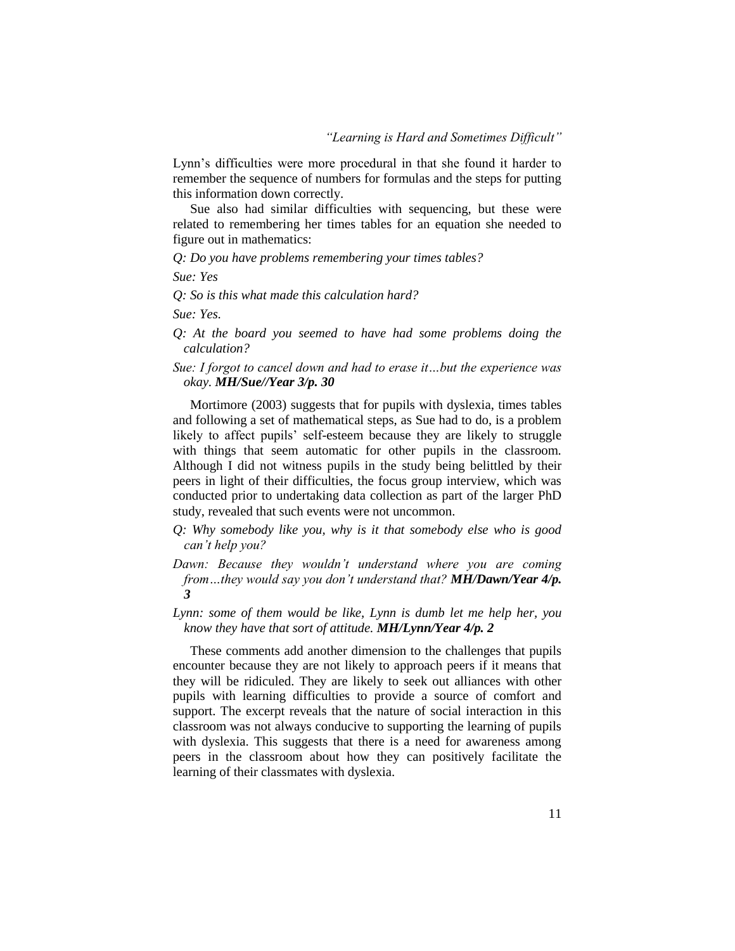Lynn's difficulties were more procedural in that she found it harder to remember the sequence of numbers for formulas and the steps for putting this information down correctly.

Sue also had similar difficulties with sequencing, but these were related to remembering her times tables for an equation she needed to figure out in mathematics:

*Q: Do you have problems remembering your times tables?*

*Sue: Yes*

*Q: So is this what made this calculation hard?*

*Sue: Yes.*

- *Q: At the board you seemed to have had some problems doing the calculation?*
- *Sue: I forgot to cancel down and had to erase it…but the experience was okay. MH/Sue//Year 3/p. 30*

Mortimore (2003) suggests that for pupils with dyslexia, times tables and following a set of mathematical steps, as Sue had to do, is a problem likely to affect pupils' self-esteem because they are likely to struggle with things that seem automatic for other pupils in the classroom. Although I did not witness pupils in the study being belittled by their peers in light of their difficulties, the focus group interview, which was conducted prior to undertaking data collection as part of the larger PhD study, revealed that such events were not uncommon.

- *Q: Why somebody like you, why is it that somebody else who is good can't help you?*
- *Dawn: Because they wouldn't understand where you are coming from…they would say you don't understand that? MH/Dawn/Year 4/p. 3*
- *Lynn: some of them would be like, Lynn is dumb let me help her, you know they have that sort of attitude. MH/Lynn/Year 4/p. 2*

These comments add another dimension to the challenges that pupils encounter because they are not likely to approach peers if it means that they will be ridiculed. They are likely to seek out alliances with other pupils with learning difficulties to provide a source of comfort and support. The excerpt reveals that the nature of social interaction in this classroom was not always conducive to supporting the learning of pupils with dyslexia. This suggests that there is a need for awareness among peers in the classroom about how they can positively facilitate the learning of their classmates with dyslexia.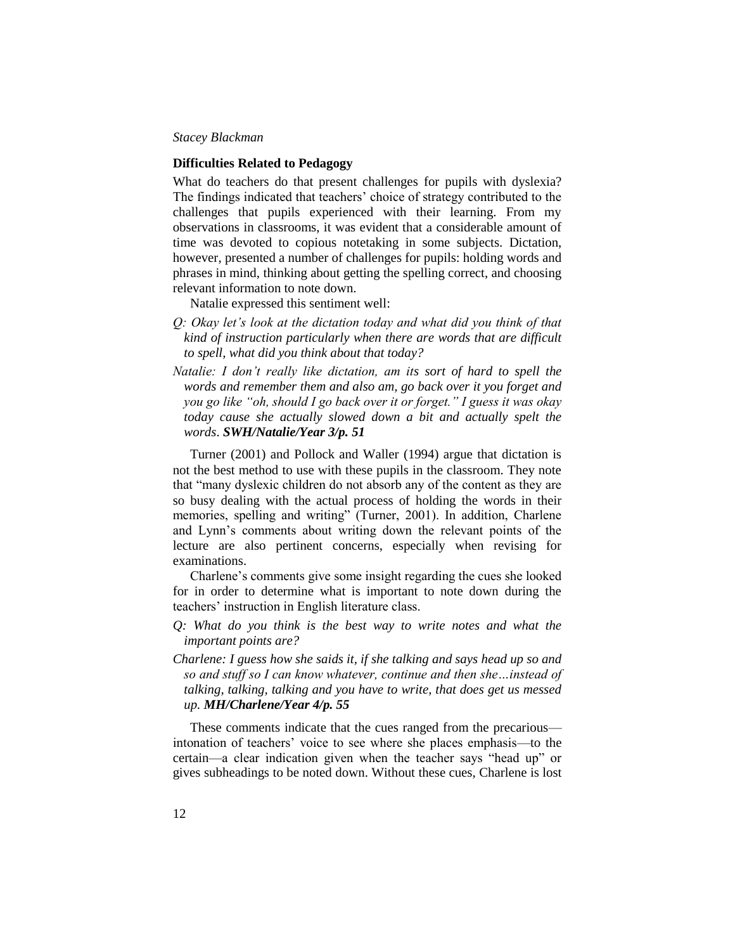### **Difficulties Related to Pedagogy**

What do teachers do that present challenges for pupils with dyslexia? The findings indicated that teachers' choice of strategy contributed to the challenges that pupils experienced with their learning. From my observations in classrooms, it was evident that a considerable amount of time was devoted to copious notetaking in some subjects. Dictation, however, presented a number of challenges for pupils: holding words and phrases in mind, thinking about getting the spelling correct, and choosing relevant information to note down.

Natalie expressed this sentiment well:

- *Q: Okay let's look at the dictation today and what did you think of that kind of instruction particularly when there are words that are difficult to spell, what did you think about that today?*
- *Natalie: I don't really like dictation, am its sort of hard to spell the words and remember them and also am, go back over it you forget and you go like "oh, should I go back over it or forget." I guess it was okay today cause she actually slowed down a bit and actually spelt the words*. *SWH/Natalie/Year 3/p. 51*

Turner (2001) and Pollock and Waller (1994) argue that dictation is not the best method to use with these pupils in the classroom. They note that "many dyslexic children do not absorb any of the content as they are so busy dealing with the actual process of holding the words in their memories, spelling and writing" (Turner, 2001). In addition, Charlene and Lynn's comments about writing down the relevant points of the lecture are also pertinent concerns, especially when revising for examinations.

Charlene's comments give some insight regarding the cues she looked for in order to determine what is important to note down during the teachers' instruction in English literature class.

- *Q: What do you think is the best way to write notes and what the important points are?*
- *Charlene: I guess how she saids it, if she talking and says head up so and so and stuff so I can know whatever, continue and then she…instead of talking, talking, talking and you have to write, that does get us messed up. MH/Charlene/Year 4/p. 55*

These comments indicate that the cues ranged from the precarious intonation of teachers' voice to see where she places emphasis—to the certain—a clear indication given when the teacher says "head up" or gives subheadings to be noted down. Without these cues, Charlene is lost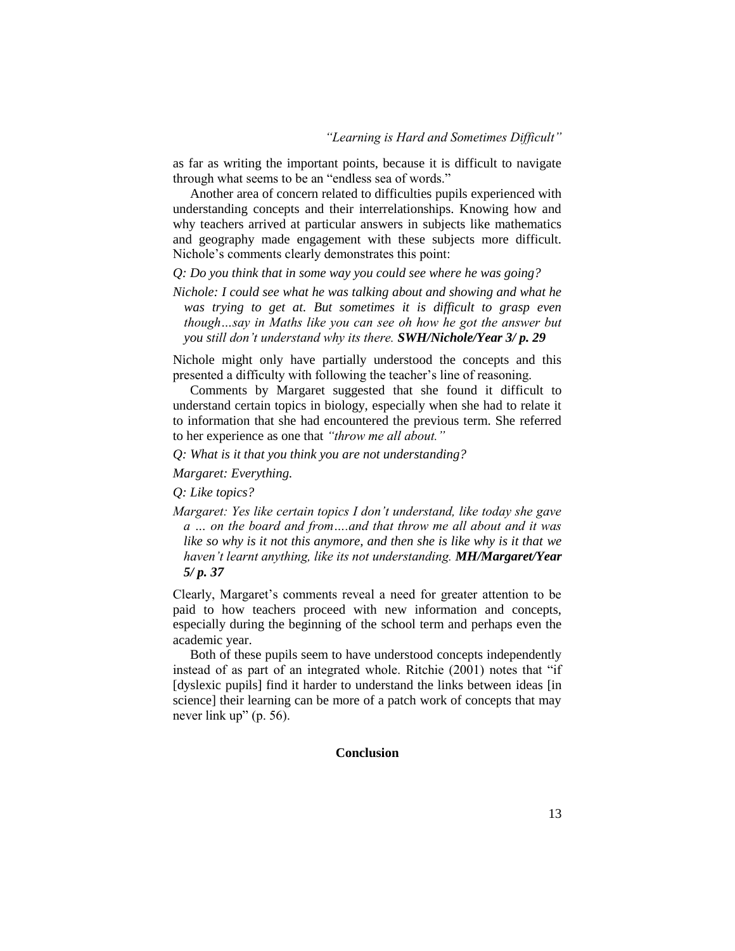as far as writing the important points, because it is difficult to navigate through what seems to be an "endless sea of words."

Another area of concern related to difficulties pupils experienced with understanding concepts and their interrelationships. Knowing how and why teachers arrived at particular answers in subjects like mathematics and geography made engagement with these subjects more difficult. Nichole's comments clearly demonstrates this point:

*Q: Do you think that in some way you could see where he was going?*

*Nichole: I could see what he was talking about and showing and what he was trying to get at. But sometimes it is difficult to grasp even though…say in Maths like you can see oh how he got the answer but you still don't understand why its there. SWH/Nichole/Year 3/ p. 29*

Nichole might only have partially understood the concepts and this presented a difficulty with following the teacher's line of reasoning.

Comments by Margaret suggested that she found it difficult to understand certain topics in biology, especially when she had to relate it to information that she had encountered the previous term. She referred to her experience as one that *"throw me all about."*

*Q: What is it that you think you are not understanding?*

*Margaret: Everything.*

*Q: Like topics?*

*Margaret: Yes like certain topics I don't understand, like today she gave a … on the board and from….and that throw me all about and it was like so why is it not this anymore, and then she is like why is it that we haven't learnt anything, like its not understanding. MH/Margaret/Year 5/ p. 37*

Clearly, Margaret's comments reveal a need for greater attention to be paid to how teachers proceed with new information and concepts, especially during the beginning of the school term and perhaps even the academic year.

Both of these pupils seem to have understood concepts independently instead of as part of an integrated whole. Ritchie (2001) notes that "if [dyslexic pupils] find it harder to understand the links between ideas [in] science] their learning can be more of a patch work of concepts that may never link up" (p. 56).

### **Conclusion**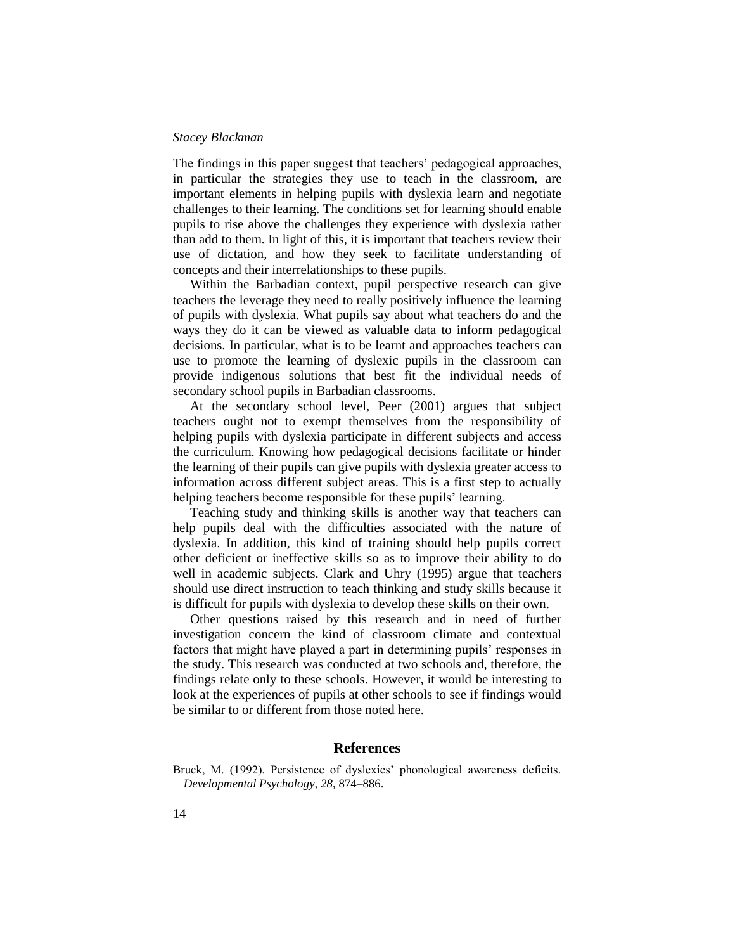The findings in this paper suggest that teachers' pedagogical approaches, in particular the strategies they use to teach in the classroom, are important elements in helping pupils with dyslexia learn and negotiate challenges to their learning. The conditions set for learning should enable pupils to rise above the challenges they experience with dyslexia rather than add to them. In light of this, it is important that teachers review their use of dictation, and how they seek to facilitate understanding of concepts and their interrelationships to these pupils.

Within the Barbadian context, pupil perspective research can give teachers the leverage they need to really positively influence the learning of pupils with dyslexia. What pupils say about what teachers do and the ways they do it can be viewed as valuable data to inform pedagogical decisions. In particular, what is to be learnt and approaches teachers can use to promote the learning of dyslexic pupils in the classroom can provide indigenous solutions that best fit the individual needs of secondary school pupils in Barbadian classrooms.

At the secondary school level, Peer (2001) argues that subject teachers ought not to exempt themselves from the responsibility of helping pupils with dyslexia participate in different subjects and access the curriculum. Knowing how pedagogical decisions facilitate or hinder the learning of their pupils can give pupils with dyslexia greater access to information across different subject areas. This is a first step to actually helping teachers become responsible for these pupils' learning.

Teaching study and thinking skills is another way that teachers can help pupils deal with the difficulties associated with the nature of dyslexia. In addition, this kind of training should help pupils correct other deficient or ineffective skills so as to improve their ability to do well in academic subjects. Clark and Uhry (1995) argue that teachers should use direct instruction to teach thinking and study skills because it is difficult for pupils with dyslexia to develop these skills on their own.

Other questions raised by this research and in need of further investigation concern the kind of classroom climate and contextual factors that might have played a part in determining pupils' responses in the study. This research was conducted at two schools and, therefore, the findings relate only to these schools. However, it would be interesting to look at the experiences of pupils at other schools to see if findings would be similar to or different from those noted here.

### **References**

Bruck, M. (1992). Persistence of dyslexics' phonological awareness deficits. *Developmental Psychology, 28*, 874–886.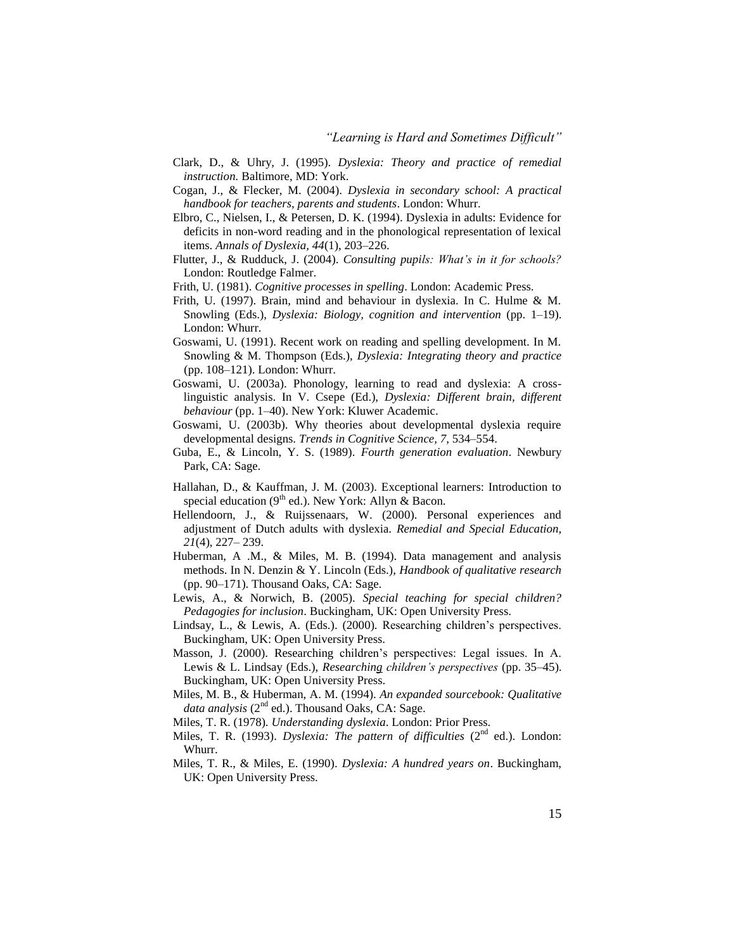- Clark, D., & Uhry, J. (1995). *Dyslexia: Theory and practice of remedial instruction.* Baltimore, MD: York.
- Cogan, J., & Flecker, M. (2004). *Dyslexia in secondary school: A practical handbook for teachers, parents and students*. London: Whurr.
- Elbro, C., Nielsen, I., & Petersen, D. K. (1994). Dyslexia in adults: Evidence for deficits in non-word reading and in the phonological representation of lexical items. *Annals of Dyslexia, 44*(1), 203–226.
- Flutter, J., & Rudduck, J. (2004). *Consulting pupils: What's in it for schools?* London: Routledge Falmer.
- Frith, U. (1981). *Cognitive processes in spelling*. London: Academic Press.
- Frith, U. (1997). Brain, mind and behaviour in dyslexia. In C. Hulme & M. Snowling (Eds.), *Dyslexia: Biology, cognition and intervention* (pp. 1–19). London: Whurr.
- Goswami, U. (1991). Recent work on reading and spelling development. In M. Snowling & M. Thompson (Eds.), *Dyslexia: Integrating theory and practice* (pp. 108–121). London: Whurr.
- Goswami, U. (2003a). Phonology, learning to read and dyslexia: A crosslinguistic analysis. In V. Csepe (Ed.), *Dyslexia: Different brain, different behaviour* (pp. 1–40). New York: Kluwer Academic.
- Goswami, U. (2003b). Why theories about developmental dyslexia require developmental designs. *Trends in Cognitive Science, 7*, 534–554.
- Guba, E., & Lincoln, Y. S. (1989). *Fourth generation evaluation*. Newbury Park, CA: Sage.
- Hallahan, D., & Kauffman, J. M. (2003). Exceptional learners: Introduction to special education ( $9<sup>th</sup>$  ed.). New York: Allyn & Bacon.
- Hellendoorn, J., & Ruijssenaars, W. (2000). Personal experiences and adjustment of Dutch adults with dyslexia. *Remedial and Special Education, 21*(4), 227– 239.
- Huberman, A .M., & Miles, M. B. (1994). Data management and analysis methods. In N. Denzin & Y. Lincoln (Eds.), *Handbook of qualitative research*  (pp. 90–171). Thousand Oaks, CA: Sage.
- Lewis, A., & Norwich, B. (2005). *Special teaching for special children? Pedagogies for inclusion*. Buckingham, UK: Open University Press.
- Lindsay, L., & Lewis, A. (Eds.). (2000). Researching children's perspectives. Buckingham, UK: Open University Press.
- Masson, J. (2000). Researching children's perspectives: Legal issues. In A. Lewis & L. Lindsay (Eds.), *Researching children's perspectives* (pp. 35–45). Buckingham, UK: Open University Press.
- Miles, M. B., & Huberman, A. M. (1994). *An expanded sourcebook: Qualitative data analysis* ( $2^{nd}$  ed.). Thousand Oaks, CA: Sage.
- Miles, T. R. (1978). *Understanding dyslexia*. London: Prior Press.
- Miles, T. R. (1993). *Dyslexia: The pattern of difficulties* (2<sup>nd</sup> ed.). London: Whurr.
- Miles, T. R., & Miles, E. (1990). *Dyslexia: A hundred years on*. Buckingham, UK: Open University Press.